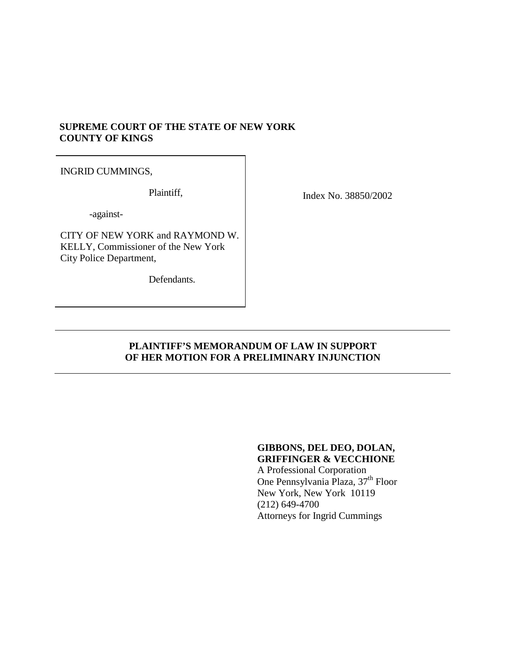## **SUPREME COURT OF THE STATE OF NEW YORK COUNTY OF KINGS**

INGRID CUMMINGS,

Plaintiff,

-against-

CITY OF NEW YORK and RAYMOND W. KELLY, Commissioner of the New York City Police Department,

Defendants.

Index No. 38850/2002

## **PLAINTIFF'S MEMORANDUM OF LAW IN SUPPORT OF HER MOTION FOR A PRELIMINARY INJUNCTION**

#### **GIBBONS, DEL DEO, DOLAN, GRIFFINGER & VECCHIONE**

A Professional Corporation One Pennsylvania Plaza, 37<sup>th</sup> Floor New York, New York 10119 (212) 649-4700 Attorneys for Ingrid Cummings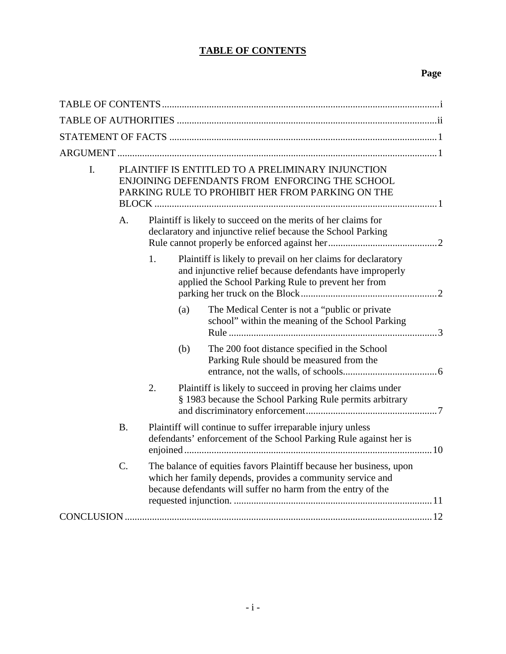# **TABLE OF CONTENTS**

## **Page**

| I. | PLAINTIFF IS ENTITLED TO A PRELIMINARY INJUNCTION<br>ENJOINING DEFENDANTS FROM ENFORCING THE SCHOOL<br>PARKING RULE TO PROHIBIT HER FROM PARKING ON THE |                                                                                                                                                                                                   |                                                                                                                                                                                 |                                                                                                                                |  |
|----|---------------------------------------------------------------------------------------------------------------------------------------------------------|---------------------------------------------------------------------------------------------------------------------------------------------------------------------------------------------------|---------------------------------------------------------------------------------------------------------------------------------------------------------------------------------|--------------------------------------------------------------------------------------------------------------------------------|--|
|    | А.                                                                                                                                                      |                                                                                                                                                                                                   |                                                                                                                                                                                 | Plaintiff is likely to succeed on the merits of her claims for<br>declaratory and injunctive relief because the School Parking |  |
|    |                                                                                                                                                         | 1.                                                                                                                                                                                                | Plaintiff is likely to prevail on her claims for declaratory<br>and injunctive relief because defendants have improperly<br>applied the School Parking Rule to prevent her from |                                                                                                                                |  |
|    |                                                                                                                                                         |                                                                                                                                                                                                   | (a)                                                                                                                                                                             | The Medical Center is not a "public or private"<br>school" within the meaning of the School Parking                            |  |
|    |                                                                                                                                                         |                                                                                                                                                                                                   | (b)                                                                                                                                                                             | The 200 foot distance specified in the School<br>Parking Rule should be measured from the                                      |  |
|    |                                                                                                                                                         | 2.                                                                                                                                                                                                |                                                                                                                                                                                 | Plaintiff is likely to succeed in proving her claims under<br>§ 1983 because the School Parking Rule permits arbitrary         |  |
|    | <b>B.</b>                                                                                                                                               | Plaintiff will continue to suffer irreparable injury unless<br>defendants' enforcement of the School Parking Rule against her is                                                                  |                                                                                                                                                                                 |                                                                                                                                |  |
|    | C.                                                                                                                                                      | The balance of equities favors Plaintiff because her business, upon<br>which her family depends, provides a community service and<br>because defendants will suffer no harm from the entry of the |                                                                                                                                                                                 |                                                                                                                                |  |
|    |                                                                                                                                                         |                                                                                                                                                                                                   |                                                                                                                                                                                 |                                                                                                                                |  |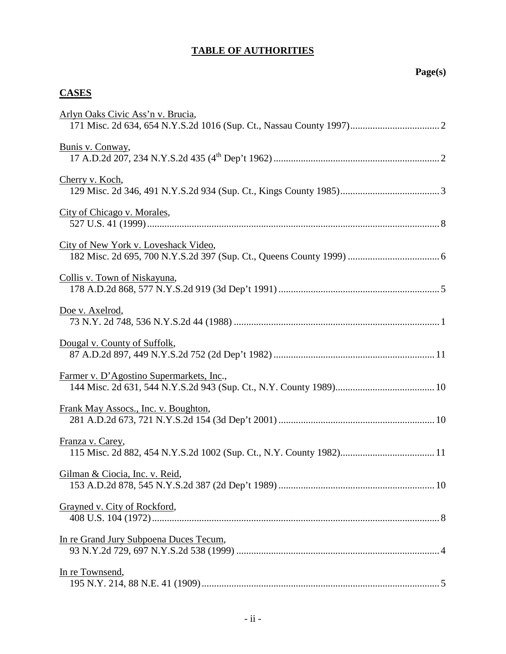## **TABLE OF AUTHORITIES**

#### **Page(s)**

# **CASES** Arlyn Oaks Civic Ass'n v. Brucia, 171 Misc. 2d 634, 654 N.Y.S.2d 1016 (Sup. Ct., Nassau County 1997).................................... 2 Bunis v. Conway, 17 A.D.2d 207, 234 N.Y.S.2d 435 (4th Dep't 1962) ................................................................... 2 Cherry v. Koch, 129 Misc. 2d 346, 491 N.Y.S.2d 934 (Sup. Ct., Kings County 1985)........................................ 3 City of Chicago v. Morales, 527 U.S. 41 (1999)...................................................................................................................... 8 City of New York v. Loveshack Video, 182 Misc. 2d 695, 700 N.Y.S.2d 397 (Sup. Ct., Queens County 1999) ..................................... 6 Collis v. Town of Niskayuna, 178 A.D.2d 868, 577 N.Y.S.2d 919 (3d Dep't 1991) ................................................................. 5 Doe v. Axelrod, 73 N.Y. 2d 748, 536 N.Y.S.2d 44 (1988) ................................................................................... 1 Dougal v. County of Suffolk, 87 A.D.2d 897, 449 N.Y.S.2d 752 (2d Dep't 1982) ................................................................. 11 Farmer v. D'Agostino Supermarkets, Inc., 144 Misc. 2d 631, 544 N.Y.S.2d 943 (Sup. Ct., N.Y. County 1989)........................................ 10 Frank May Assocs., Inc. v. Boughton, 281 A.D.2d 673, 721 N.Y.S.2d 154 (3d Dep't 2001) ............................................................... 10 Franza v. Carey, 115 Misc. 2d 882, 454 N.Y.S.2d 1002 (Sup. Ct., N.Y. County 1982)...................................... 11 Gilman & Ciocia, Inc. v. Reid, 153 A.D.2d 878, 545 N.Y.S.2d 387 (2d Dep't 1989) ............................................................... 10 Grayned v. City of Rockford, 408 U.S. 104 (1972).................................................................................................................... 8 In re Grand Jury Subpoena Duces Tecum, 93 N.Y.2d 729, 697 N.Y.S.2d 538 (1999) .................................................................................. 4 In re Townsend, 195 N.Y. 214, 88 N.E. 41 (1909)................................................................................................ 5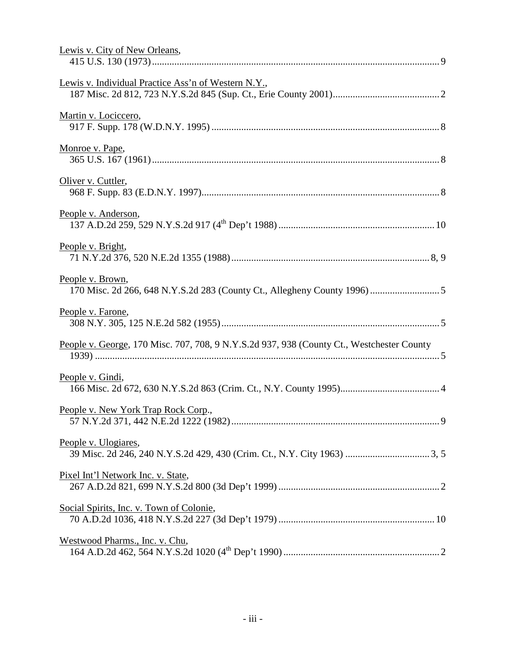| Lewis v. City of New Orleans,                                                             |
|-------------------------------------------------------------------------------------------|
| Lewis v. Individual Practice Ass'n of Western N.Y.,                                       |
| Martin v. Lociccero,                                                                      |
| Monroe v. Pape,                                                                           |
| Oliver v. Cuttler,                                                                        |
| People v. Anderson,                                                                       |
| People v. Bright,                                                                         |
| People v. Brown,                                                                          |
| People v. Farone,                                                                         |
| People v. George, 170 Misc. 707, 708, 9 N.Y.S.2d 937, 938 (County Ct., Westchester County |
| People v. Gindi,                                                                          |
| People v. New York Trap Rock Corp.,                                                       |
| People v. Ulogiares,                                                                      |
| Pixel Int'l Network Inc. v. State,                                                        |
| Social Spirits, Inc. v. Town of Colonie,                                                  |
| Westwood Pharms., Inc. v. Chu,                                                            |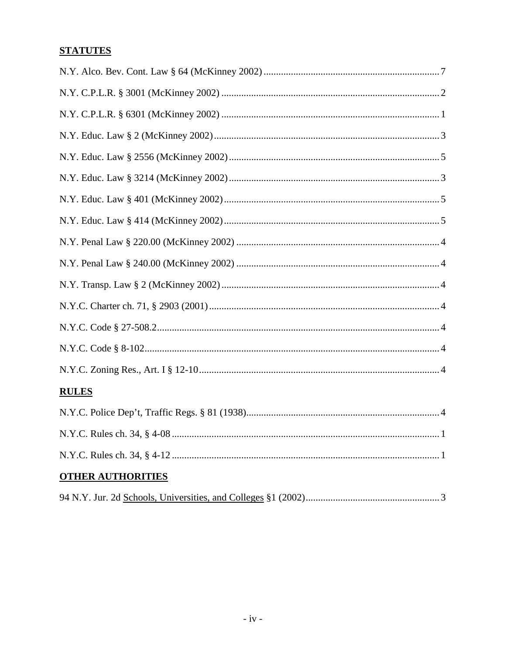# **STATUTES**

| <b>RULES</b>             |  |
|--------------------------|--|
|                          |  |
|                          |  |
|                          |  |
| <b>OTHER AUTHORITIES</b> |  |
|                          |  |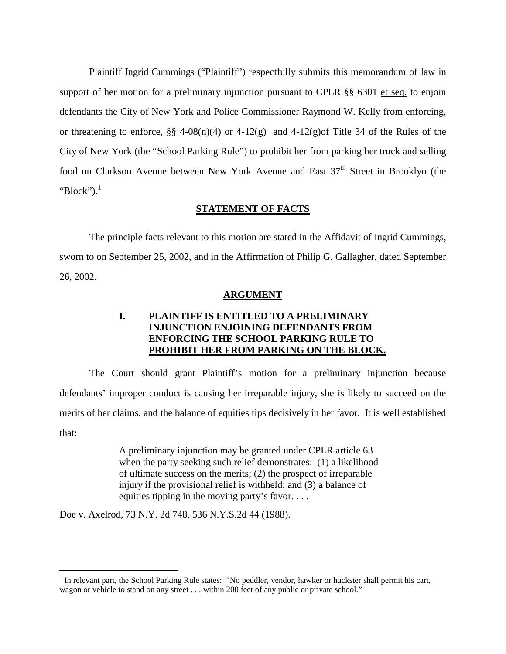Plaintiff Ingrid Cummings ("Plaintiff") respectfully submits this memorandum of law in support of her motion for a preliminary injunction pursuant to CPLR §§ 6301 et seq. to enjoin defendants the City of New York and Police Commissioner Raymond W. Kelly from enforcing, or threatening to enforce,  $\S\S 4-08(n)(4)$  or  $4-12(g)$  and  $4-12(g)$  of Title 34 of the Rules of the City of New York (the "School Parking Rule") to prohibit her from parking her truck and selling food on Clarkson Avenue between New York Avenue and East 37<sup>th</sup> Street in Brooklyn (the " $Block$ ").<sup>1</sup>

#### **STATEMENT OF FACTS**

The principle facts relevant to this motion are stated in the Affidavit of Ingrid Cummings, sworn to on September 25, 2002, and in the Affirmation of Philip G. Gallagher, dated September 26, 2002.

#### **ARGUMENT**

## **I. PLAINTIFF IS ENTITLED TO A PRELIMINARY INJUNCTION ENJOINING DEFENDANTS FROM ENFORCING THE SCHOOL PARKING RULE TO PROHIBIT HER FROM PARKING ON THE BLOCK.**

The Court should grant Plaintiff's motion for a preliminary injunction because defendants' improper conduct is causing her irreparable injury, she is likely to succeed on the merits of her claims, and the balance of equities tips decisively in her favor. It is well established that:

> A preliminary injunction may be granted under CPLR article 63 when the party seeking such relief demonstrates: (1) a likelihood of ultimate success on the merits; (2) the prospect of irreparable injury if the provisional relief is withheld; and (3) a balance of equities tipping in the moving party's favor. . . .

Doe v. Axelrod, 73 N.Y. 2d 748, 536 N.Y.S.2d 44 (1988).

<sup>&</sup>lt;sup>1</sup> In relevant part, the School Parking Rule states: "No peddler, vendor, hawker or huckster shall permit his cart, wagon or vehicle to stand on any street . . . within 200 feet of any public or private school."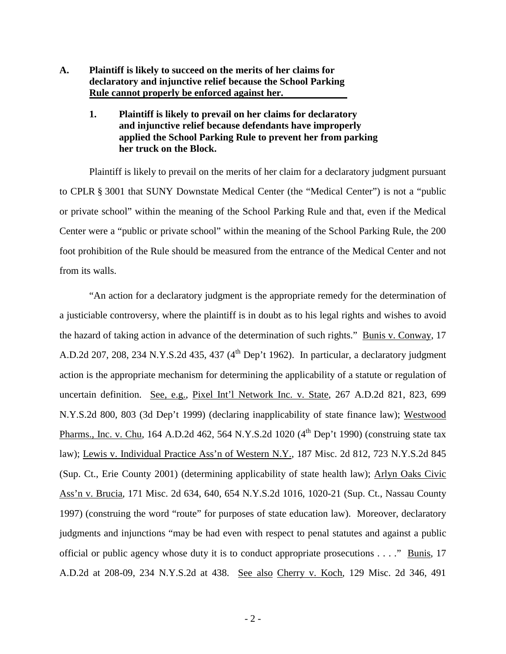- **A. Plaintiff is likely to succeed on the merits of her claims for declaratory and injunctive relief because the School Parking Rule cannot properly be enforced against her.** 
	- **1. Plaintiff is likely to prevail on her claims for declaratory and injunctive relief because defendants have improperly applied the School Parking Rule to prevent her from parking her truck on the Block.**

Plaintiff is likely to prevail on the merits of her claim for a declaratory judgment pursuant to CPLR § 3001 that SUNY Downstate Medical Center (the "Medical Center") is not a "public or private school" within the meaning of the School Parking Rule and that, even if the Medical Center were a "public or private school" within the meaning of the School Parking Rule, the 200 foot prohibition of the Rule should be measured from the entrance of the Medical Center and not from its walls.

"An action for a declaratory judgment is the appropriate remedy for the determination of a justiciable controversy, where the plaintiff is in doubt as to his legal rights and wishes to avoid the hazard of taking action in advance of the determination of such rights." Bunis v. Conway, 17 A.D.2d 207, 208, 234 N.Y.S.2d 435, 437 (4<sup>th</sup> Dep't 1962). In particular, a declaratory judgment action is the appropriate mechanism for determining the applicability of a statute or regulation of uncertain definition. See, e.g., Pixel Int'l Network Inc. v. State, 267 A.D.2d 821, 823, 699 N.Y.S.2d 800, 803 (3d Dep't 1999) (declaring inapplicability of state finance law); Westwood Pharms., Inc. v. Chu, 164 A.D.2d 462, 564 N.Y.S.2d 1020  $(4<sup>th</sup>$  Dep't 1990) (construing state tax law); Lewis v. Individual Practice Ass'n of Western N.Y., 187 Misc. 2d 812, 723 N.Y.S.2d 845 (Sup. Ct., Erie County 2001) (determining applicability of state health law); Arlyn Oaks Civic Ass'n v. Brucia, 171 Misc. 2d 634, 640, 654 N.Y.S.2d 1016, 1020-21 (Sup. Ct., Nassau County 1997) (construing the word "route" for purposes of state education law). Moreover, declaratory judgments and injunctions "may be had even with respect to penal statutes and against a public official or public agency whose duty it is to conduct appropriate prosecutions . . . ." Bunis, 17 A.D.2d at 208-09, 234 N.Y.S.2d at 438. See also Cherry v. Koch, 129 Misc. 2d 346, 491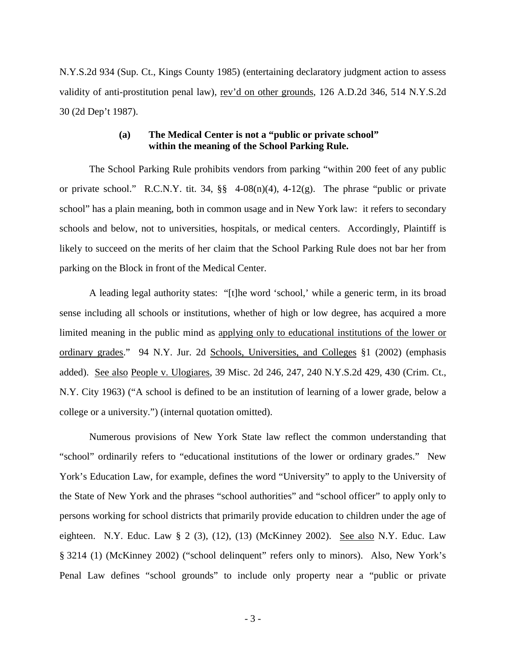N.Y.S.2d 934 (Sup. Ct., Kings County 1985) (entertaining declaratory judgment action to assess validity of anti-prostitution penal law), rev'd on other grounds, 126 A.D.2d 346, 514 N.Y.S.2d 30 (2d Dep't 1987).

#### **(a) The Medical Center is not a "public or private school" within the meaning of the School Parking Rule.**

The School Parking Rule prohibits vendors from parking "within 200 feet of any public or private school." R.C.N.Y. tit. 34, §§ 4-08(n)(4), 4-12(g). The phrase "public or private school" has a plain meaning, both in common usage and in New York law: it refers to secondary schools and below, not to universities, hospitals, or medical centers. Accordingly, Plaintiff is likely to succeed on the merits of her claim that the School Parking Rule does not bar her from parking on the Block in front of the Medical Center.

A leading legal authority states: "[t]he word 'school,' while a generic term, in its broad sense including all schools or institutions, whether of high or low degree, has acquired a more limited meaning in the public mind as applying only to educational institutions of the lower or ordinary grades." 94 N.Y. Jur. 2d Schools, Universities, and Colleges §1 (2002) (emphasis added). See also People v. Ulogiares, 39 Misc. 2d 246, 247, 240 N.Y.S.2d 429, 430 (Crim. Ct., N.Y. City 1963) ("A school is defined to be an institution of learning of a lower grade, below a college or a university.") (internal quotation omitted).

Numerous provisions of New York State law reflect the common understanding that "school" ordinarily refers to "educational institutions of the lower or ordinary grades." New York's Education Law, for example, defines the word "University" to apply to the University of the State of New York and the phrases "school authorities" and "school officer" to apply only to persons working for school districts that primarily provide education to children under the age of eighteen. N.Y. Educ. Law § 2 (3), (12), (13) (McKinney 2002). See also N.Y. Educ. Law § 3214 (1) (McKinney 2002) ("school delinquent" refers only to minors). Also, New York's Penal Law defines "school grounds" to include only property near a "public or private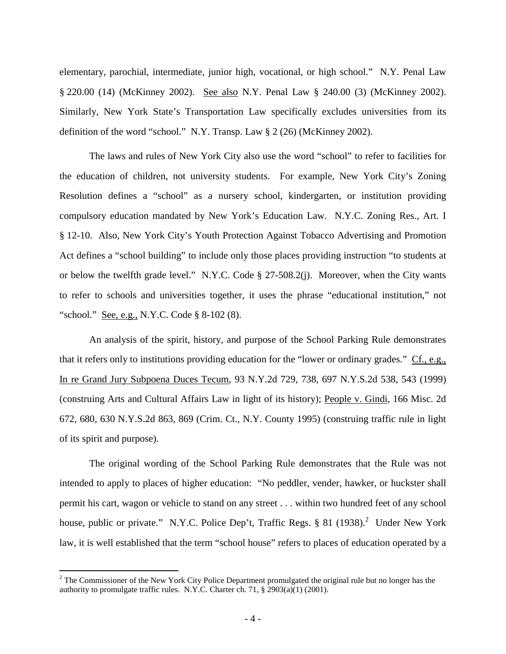elementary, parochial, intermediate, junior high, vocational, or high school." N.Y. Penal Law § 220.00 (14) (McKinney 2002). See also N.Y. Penal Law § 240.00 (3) (McKinney 2002). Similarly, New York State's Transportation Law specifically excludes universities from its definition of the word "school." N.Y. Transp. Law § 2 (26) (McKinney 2002).

The laws and rules of New York City also use the word "school" to refer to facilities for the education of children, not university students. For example, New York City's Zoning Resolution defines a "school" as a nursery school, kindergarten, or institution providing compulsory education mandated by New York's Education Law. N.Y.C. Zoning Res., Art. I § 12-10. Also, New York City's Youth Protection Against Tobacco Advertising and Promotion Act defines a "school building" to include only those places providing instruction "to students at or below the twelfth grade level." N.Y.C. Code § 27-508.2(j). Moreover, when the City wants to refer to schools and universities together, it uses the phrase "educational institution," not "school." <u>See, e.g.</u>, N.Y.C. Code § 8-102 (8).

An analysis of the spirit, history, and purpose of the School Parking Rule demonstrates that it refers only to institutions providing education for the "lower or ordinary grades." Cf., e.g., In re Grand Jury Subpoena Duces Tecum, 93 N.Y.2d 729, 738, 697 N.Y.S.2d 538, 543 (1999) (construing Arts and Cultural Affairs Law in light of its history); People v. Gindi, 166 Misc. 2d 672, 680, 630 N.Y.S.2d 863, 869 (Crim. Ct., N.Y. County 1995) (construing traffic rule in light of its spirit and purpose).

The original wording of the School Parking Rule demonstrates that the Rule was not intended to apply to places of higher education: "No peddler, vender, hawker, or huckster shall permit his cart, wagon or vehicle to stand on any street . . . within two hundred feet of any school house, public or private." N.Y.C. Police Dep't, Traffic Regs. § 81 (1938).<sup>2</sup> Under New York law, it is well established that the term "school house" refers to places of education operated by a

<sup>&</sup>lt;sup>2</sup> The Commissioner of the New York City Police Department promulgated the original rule but no longer has the authority to promulgate traffic rules. N.Y.C. Charter ch. 71, § 2903(a)(1) (2001).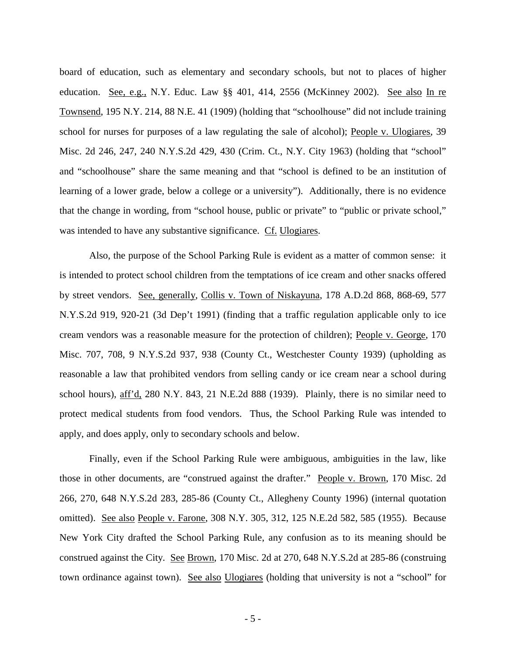board of education, such as elementary and secondary schools, but not to places of higher education. See, e.g., N.Y. Educ. Law §§ 401, 414, 2556 (McKinney 2002). See also In re Townsend, 195 N.Y. 214, 88 N.E. 41 (1909) (holding that "schoolhouse" did not include training school for nurses for purposes of a law regulating the sale of alcohol); People v. Ulogiares, 39 Misc. 2d 246, 247, 240 N.Y.S.2d 429, 430 (Crim. Ct., N.Y. City 1963) (holding that "school" and "schoolhouse" share the same meaning and that "school is defined to be an institution of learning of a lower grade, below a college or a university"). Additionally, there is no evidence that the change in wording, from "school house, public or private" to "public or private school," was intended to have any substantive significance. Cf. Ulogiares.

Also, the purpose of the School Parking Rule is evident as a matter of common sense: it is intended to protect school children from the temptations of ice cream and other snacks offered by street vendors. See, generally, Collis v. Town of Niskayuna, 178 A.D.2d 868, 868-69, 577 N.Y.S.2d 919, 920-21 (3d Dep't 1991) (finding that a traffic regulation applicable only to ice cream vendors was a reasonable measure for the protection of children); People v. George, 170 Misc. 707, 708, 9 N.Y.S.2d 937, 938 (County Ct., Westchester County 1939) (upholding as reasonable a law that prohibited vendors from selling candy or ice cream near a school during school hours), aff'd, 280 N.Y. 843, 21 N.E.2d 888 (1939). Plainly, there is no similar need to protect medical students from food vendors. Thus, the School Parking Rule was intended to apply, and does apply, only to secondary schools and below.

Finally, even if the School Parking Rule were ambiguous, ambiguities in the law, like those in other documents, are "construed against the drafter." People v. Brown, 170 Misc. 2d 266, 270, 648 N.Y.S.2d 283, 285-86 (County Ct., Allegheny County 1996) (internal quotation omitted). See also People v. Farone, 308 N.Y. 305, 312, 125 N.E.2d 582, 585 (1955). Because New York City drafted the School Parking Rule, any confusion as to its meaning should be construed against the City. See Brown, 170 Misc. 2d at 270, 648 N.Y.S.2d at 285-86 (construing town ordinance against town). See also Ulogiares (holding that university is not a "school" for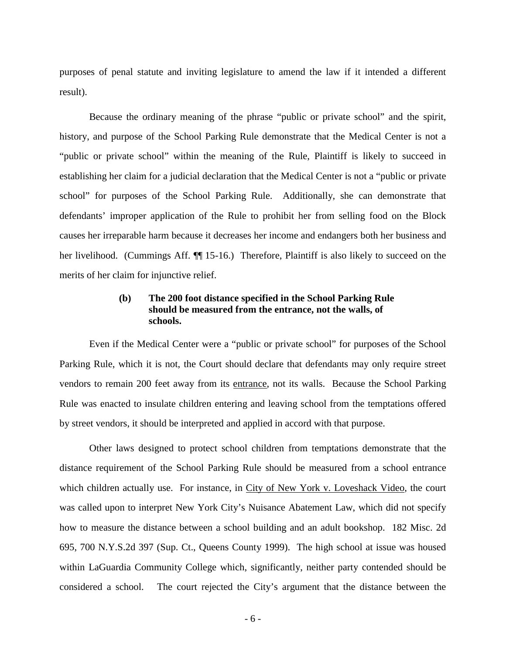purposes of penal statute and inviting legislature to amend the law if it intended a different result).

Because the ordinary meaning of the phrase "public or private school" and the spirit, history, and purpose of the School Parking Rule demonstrate that the Medical Center is not a "public or private school" within the meaning of the Rule, Plaintiff is likely to succeed in establishing her claim for a judicial declaration that the Medical Center is not a "public or private school" for purposes of the School Parking Rule. Additionally, she can demonstrate that defendants' improper application of the Rule to prohibit her from selling food on the Block causes her irreparable harm because it decreases her income and endangers both her business and her livelihood. (Cummings Aff. ¶¶ 15-16.) Therefore, Plaintiff is also likely to succeed on the merits of her claim for injunctive relief.

#### **(b) The 200 foot distance specified in the School Parking Rule should be measured from the entrance, not the walls, of schools.**

Even if the Medical Center were a "public or private school" for purposes of the School Parking Rule, which it is not, the Court should declare that defendants may only require street vendors to remain 200 feet away from its entrance, not its walls. Because the School Parking Rule was enacted to insulate children entering and leaving school from the temptations offered by street vendors, it should be interpreted and applied in accord with that purpose.

Other laws designed to protect school children from temptations demonstrate that the distance requirement of the School Parking Rule should be measured from a school entrance which children actually use. For instance, in City of New York v. Loveshack Video, the court was called upon to interpret New York City's Nuisance Abatement Law, which did not specify how to measure the distance between a school building and an adult bookshop. 182 Misc. 2d 695, 700 N.Y.S.2d 397 (Sup. Ct., Queens County 1999). The high school at issue was housed within LaGuardia Community College which, significantly, neither party contended should be considered a school. The court rejected the City's argument that the distance between the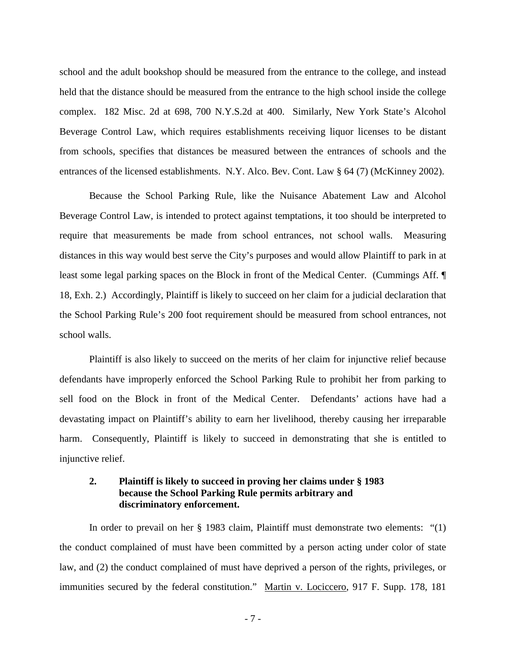school and the adult bookshop should be measured from the entrance to the college, and instead held that the distance should be measured from the entrance to the high school inside the college complex. 182 Misc. 2d at 698, 700 N.Y.S.2d at 400. Similarly, New York State's Alcohol Beverage Control Law, which requires establishments receiving liquor licenses to be distant from schools, specifies that distances be measured between the entrances of schools and the entrances of the licensed establishments. N.Y. Alco. Bev. Cont. Law § 64 (7) (McKinney 2002).

Because the School Parking Rule, like the Nuisance Abatement Law and Alcohol Beverage Control Law, is intended to protect against temptations, it too should be interpreted to require that measurements be made from school entrances, not school walls. Measuring distances in this way would best serve the City's purposes and would allow Plaintiff to park in at least some legal parking spaces on the Block in front of the Medical Center. (Cummings Aff. ¶ 18, Exh. 2.) Accordingly, Plaintiff is likely to succeed on her claim for a judicial declaration that the School Parking Rule's 200 foot requirement should be measured from school entrances, not school walls.

Plaintiff is also likely to succeed on the merits of her claim for injunctive relief because defendants have improperly enforced the School Parking Rule to prohibit her from parking to sell food on the Block in front of the Medical Center. Defendants' actions have had a devastating impact on Plaintiff's ability to earn her livelihood, thereby causing her irreparable harm. Consequently, Plaintiff is likely to succeed in demonstrating that she is entitled to injunctive relief.

#### **2. Plaintiff is likely to succeed in proving her claims under § 1983 because the School Parking Rule permits arbitrary and discriminatory enforcement.**

In order to prevail on her § 1983 claim, Plaintiff must demonstrate two elements: "(1) the conduct complained of must have been committed by a person acting under color of state law, and (2) the conduct complained of must have deprived a person of the rights, privileges, or immunities secured by the federal constitution." Martin v. Lociccero, 917 F. Supp. 178, 181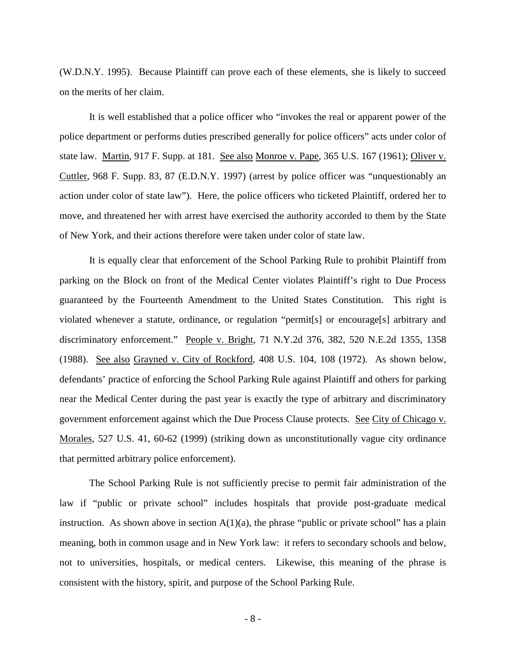(W.D.N.Y. 1995). Because Plaintiff can prove each of these elements, she is likely to succeed on the merits of her claim.

It is well established that a police officer who "invokes the real or apparent power of the police department or performs duties prescribed generally for police officers" acts under color of state law. Martin, 917 F. Supp. at 181. See also Monroe v. Pape, 365 U.S. 167 (1961); Oliver v. Cuttler, 968 F. Supp. 83, 87 (E.D.N.Y. 1997) (arrest by police officer was "unquestionably an action under color of state law"). Here, the police officers who ticketed Plaintiff, ordered her to move, and threatened her with arrest have exercised the authority accorded to them by the State of New York, and their actions therefore were taken under color of state law.

It is equally clear that enforcement of the School Parking Rule to prohibit Plaintiff from parking on the Block on front of the Medical Center violates Plaintiff's right to Due Process guaranteed by the Fourteenth Amendment to the United States Constitution. This right is violated whenever a statute, ordinance, or regulation "permit[s] or encourage[s] arbitrary and discriminatory enforcement." People v. Bright, 71 N.Y.2d 376, 382, 520 N.E.2d 1355, 1358 (1988). See also Grayned v. City of Rockford, 408 U.S. 104, 108 (1972). As shown below, defendants' practice of enforcing the School Parking Rule against Plaintiff and others for parking near the Medical Center during the past year is exactly the type of arbitrary and discriminatory government enforcement against which the Due Process Clause protects. See City of Chicago v. Morales, 527 U.S. 41, 60-62 (1999) (striking down as unconstitutionally vague city ordinance that permitted arbitrary police enforcement).

The School Parking Rule is not sufficiently precise to permit fair administration of the law if "public or private school" includes hospitals that provide post-graduate medical instruction. As shown above in section  $A(1)(a)$ , the phrase "public or private school" has a plain meaning, both in common usage and in New York law: it refers to secondary schools and below, not to universities, hospitals, or medical centers. Likewise, this meaning of the phrase is consistent with the history, spirit, and purpose of the School Parking Rule.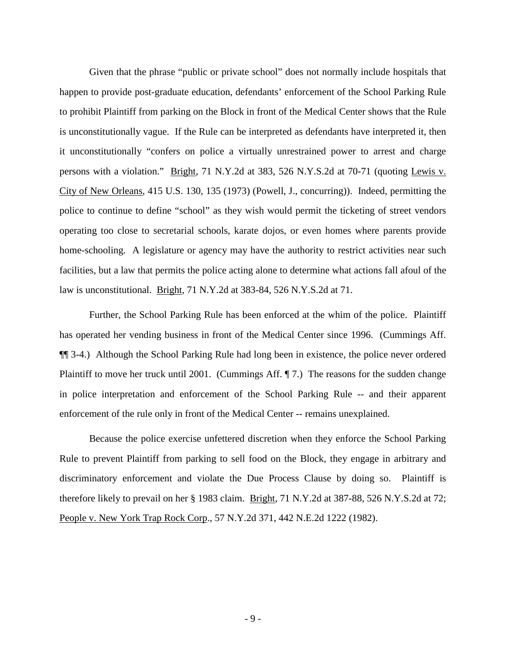Given that the phrase "public or private school" does not normally include hospitals that happen to provide post-graduate education, defendants' enforcement of the School Parking Rule to prohibit Plaintiff from parking on the Block in front of the Medical Center shows that the Rule is unconstitutionally vague. If the Rule can be interpreted as defendants have interpreted it, then it unconstitutionally "confers on police a virtually unrestrained power to arrest and charge persons with a violation." Bright, 71 N.Y.2d at 383, 526 N.Y.S.2d at 70-71 (quoting Lewis v. City of New Orleans, 415 U.S. 130, 135 (1973) (Powell, J., concurring)). Indeed, permitting the police to continue to define "school" as they wish would permit the ticketing of street vendors operating too close to secretarial schools, karate dojos, or even homes where parents provide home-schooling. A legislature or agency may have the authority to restrict activities near such facilities, but a law that permits the police acting alone to determine what actions fall afoul of the law is unconstitutional. Bright, 71 N.Y.2d at 383-84, 526 N.Y.S.2d at 71.

Further, the School Parking Rule has been enforced at the whim of the police. Plaintiff has operated her vending business in front of the Medical Center since 1996. (Cummings Aff. ¶¶ 3-4.) Although the School Parking Rule had long been in existence, the police never ordered Plaintiff to move her truck until 2001. (Cummings Aff. ¶ 7.) The reasons for the sudden change in police interpretation and enforcement of the School Parking Rule -- and their apparent enforcement of the rule only in front of the Medical Center -- remains unexplained.

Because the police exercise unfettered discretion when they enforce the School Parking Rule to prevent Plaintiff from parking to sell food on the Block, they engage in arbitrary and discriminatory enforcement and violate the Due Process Clause by doing so. Plaintiff is therefore likely to prevail on her § 1983 claim. Bright, 71 N.Y.2d at 387-88, 526 N.Y.S.2d at 72; People v. New York Trap Rock Corp., 57 N.Y.2d 371, 442 N.E.2d 1222 (1982).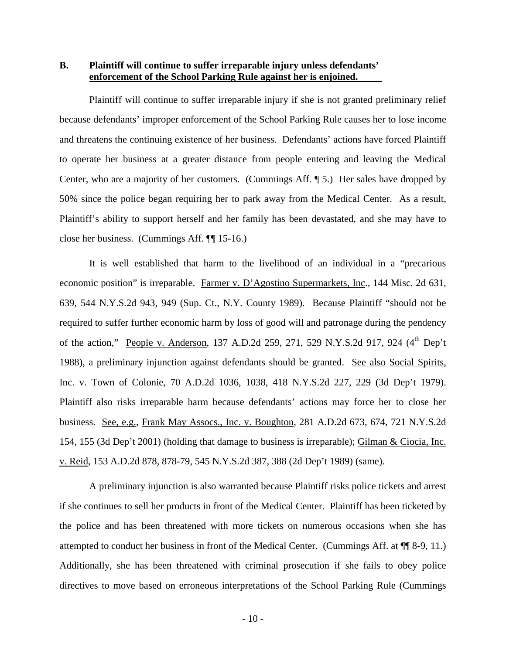**B. Plaintiff will continue to suffer irreparable injury unless defendants' enforcement of the School Parking Rule against her is enjoined.** 

Plaintiff will continue to suffer irreparable injury if she is not granted preliminary relief because defendants' improper enforcement of the School Parking Rule causes her to lose income and threatens the continuing existence of her business. Defendants' actions have forced Plaintiff to operate her business at a greater distance from people entering and leaving the Medical Center, who are a majority of her customers. (Cummings Aff. ¶ 5.) Her sales have dropped by 50% since the police began requiring her to park away from the Medical Center. As a result, Plaintiff's ability to support herself and her family has been devastated, and she may have to close her business. (Cummings Aff. ¶¶ 15-16.)

It is well established that harm to the livelihood of an individual in a "precarious economic position" is irreparable. Farmer v. D'Agostino Supermarkets, Inc., 144 Misc. 2d 631, 639, 544 N.Y.S.2d 943, 949 (Sup. Ct., N.Y. County 1989). Because Plaintiff "should not be required to suffer further economic harm by loss of good will and patronage during the pendency of the action," People v. Anderson, 137 A.D.2d 259, 271, 529 N.Y.S.2d 917, 924 (4<sup>th</sup> Dep't 1988), a preliminary injunction against defendants should be granted. See also Social Spirits, Inc. v. Town of Colonie, 70 A.D.2d 1036, 1038, 418 N.Y.S.2d 227, 229 (3d Dep't 1979). Plaintiff also risks irreparable harm because defendants' actions may force her to close her business. See, e.g., Frank May Assocs., Inc. v. Boughton, 281 A.D.2d 673, 674, 721 N.Y.S.2d 154, 155 (3d Dep't 2001) (holding that damage to business is irreparable); Gilman & Ciocia, Inc. v. Reid, 153 A.D.2d 878, 878-79, 545 N.Y.S.2d 387, 388 (2d Dep't 1989) (same).

A preliminary injunction is also warranted because Plaintiff risks police tickets and arrest if she continues to sell her products in front of the Medical Center. Plaintiff has been ticketed by the police and has been threatened with more tickets on numerous occasions when she has attempted to conduct her business in front of the Medical Center. (Cummings Aff. at ¶¶ 8-9, 11.) Additionally, she has been threatened with criminal prosecution if she fails to obey police directives to move based on erroneous interpretations of the School Parking Rule (Cummings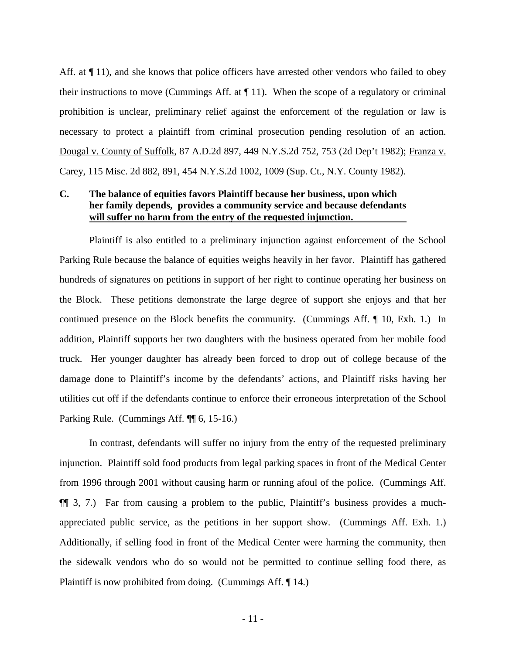Aff. at  $\P$  11), and she knows that police officers have arrested other vendors who failed to obey their instructions to move (Cummings Aff. at  $\P$  11). When the scope of a regulatory or criminal prohibition is unclear, preliminary relief against the enforcement of the regulation or law is necessary to protect a plaintiff from criminal prosecution pending resolution of an action. Dougal v. County of Suffolk, 87 A.D.2d 897, 449 N.Y.S.2d 752, 753 (2d Dep't 1982); Franza v. Carey, 115 Misc. 2d 882, 891, 454 N.Y.S.2d 1002, 1009 (Sup. Ct., N.Y. County 1982).

### **C. The balance of equities favors Plaintiff because her business, upon which her family depends, provides a community service and because defendants will suffer no harm from the entry of the requested injunction.**

Plaintiff is also entitled to a preliminary injunction against enforcement of the School Parking Rule because the balance of equities weighs heavily in her favor. Plaintiff has gathered hundreds of signatures on petitions in support of her right to continue operating her business on the Block. These petitions demonstrate the large degree of support she enjoys and that her continued presence on the Block benefits the community. (Cummings Aff. ¶ 10, Exh. 1.) In addition, Plaintiff supports her two daughters with the business operated from her mobile food truck. Her younger daughter has already been forced to drop out of college because of the damage done to Plaintiff's income by the defendants' actions, and Plaintiff risks having her utilities cut off if the defendants continue to enforce their erroneous interpretation of the School Parking Rule. (Cummings Aff. ¶¶ 6, 15-16.)

In contrast, defendants will suffer no injury from the entry of the requested preliminary injunction. Plaintiff sold food products from legal parking spaces in front of the Medical Center from 1996 through 2001 without causing harm or running afoul of the police. (Cummings Aff. ¶¶ 3, 7.) Far from causing a problem to the public, Plaintiff's business provides a muchappreciated public service, as the petitions in her support show. (Cummings Aff. Exh. 1.) Additionally, if selling food in front of the Medical Center were harming the community, then the sidewalk vendors who do so would not be permitted to continue selling food there, as Plaintiff is now prohibited from doing. (Cummings Aff. ¶ 14.)